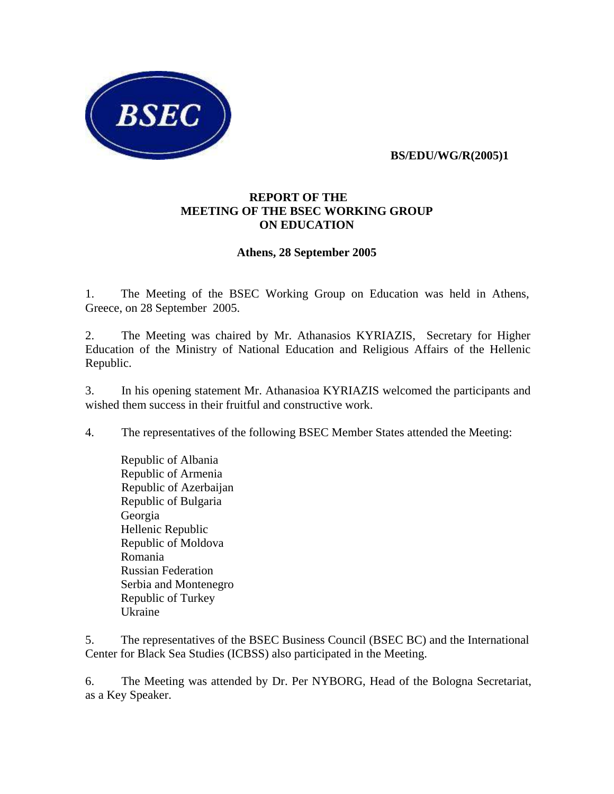

 **BS/EDU/WG/R(2005)1**

## **REPORT OF THE MEETING OF THE BSEC WORKING GROUP ON EDUCATION**

## **Athens, 28 September 2005**

1. The Meeting of the BSEC Working Group on Education was held in Athens, Greece, on 28 September 2005.

2. The Meeting was chaired by Mr. Athanasios KYRIAZIS, Secretary for Higher Education of the Ministry of National Education and Religious Affairs of the Hellenic Republic.

3. In his opening statement Mr. Athanasioa KYRIAZIS welcomed the participants and wished them success in their fruitful and constructive work.

4. The representatives of the following BSEC Member States attended the Meeting:

 Republic of Albania Republic of Armenia Republic of Azerbaijan Republic of Bulgaria Georgia Hellenic Republic Republic of Moldova Romania Russian Federation Serbia and Montenegro Republic of Turkey Ukraine

5. The representatives of the BSEC Business Council (BSEC BC) and the International Center for Black Sea Studies (ICBSS) also participated in the Meeting.

6. The Meeting was attended by Dr. Per NYBORG, Head of the Bologna Secretariat, as a Key Speaker.